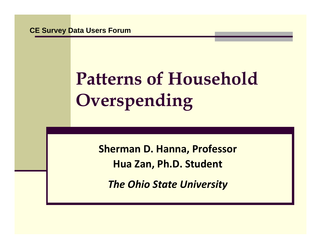**CE Survey Data Users Forum**

# **Patterns of Household Overspending**

**Sherman D. Hanna, Professor Hua Zan, Ph.D. Student**

*The Ohio State University*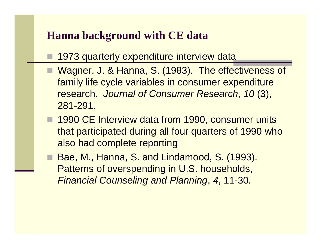## **Hanna background with CE data**

- 1973 quarterly expenditure interview data
- Wagner, J. & Hanna, S. (1983). The effectiveness of family life cycle variables in consumer expenditure research. *Journal of Consumer Research*, *10* (3), 281-291.
- **1990 CE Interview data from 1990, consumer units** that participated during all four quarters of 1990 who also had complete reporting
- Bae, M., Hanna, S. and Lindamood, S. (1993). Patterns of overspending in U.S. households, *Financial Counseling and Planning*, *4*, 11-30.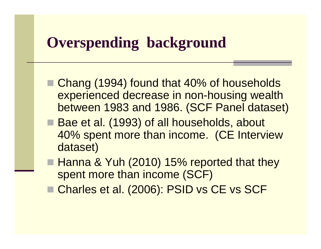# **Overspending background Overspending**

- Chang (1994) found that 40% of households experienced decrease in non-housing wealth between 1983 and 1986. (SCF Panel dataset)
- Bae et al. (1993) of all households, about 40% spent more than income. (CE Interview dataset)
- Hanna & Yuh (2010) 15% reported that they spent more than income (SCF)
- Charles et al. (2006): PSID vs CE vs SCF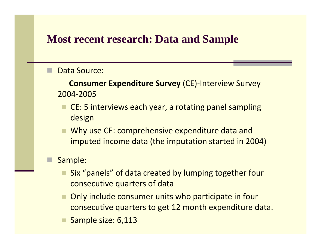## **Most recent research: Data and Sample**

#### Data Source:

**Consumer Expenditure Survey** (CE) ‐Interview Survey 2004‐2005

- CE: 5 interviews each year, a rotating panel sampling design
- Why use CE: comprehensive expenditure data and imputed income data (the imputation started in 2004)

### Sample:

- Six "panels" "" of data created by lumping together four consecutive quarters of data
- Only include consumer units who participate in four consecutive quarters to get 12 month expenditure data.
- Sample size: 6,113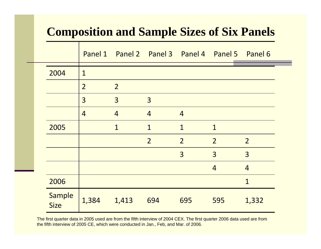## **Composition and Sample Sizes of Six Panels**

|  |                       |                | Panel 1 Panel 2 Panel 3 Panel 4 Panel 5 Panel 6 |                |                |                |                |
|--|-----------------------|----------------|-------------------------------------------------|----------------|----------------|----------------|----------------|
|  | 2004                  | $\mathbf{1}$   |                                                 |                |                |                |                |
|  |                       | $\overline{2}$ | $\overline{2}$                                  |                |                |                |                |
|  |                       | 3              | $\overline{3}$                                  | $\overline{3}$ |                |                |                |
|  |                       | $\overline{4}$ | $\overline{4}$                                  | $\overline{4}$ | $\overline{4}$ |                |                |
|  | 2005                  |                | $\mathbf{1}$                                    | $\mathbf{1}$   | $\mathbf{1}$   | 1              |                |
|  |                       |                |                                                 | $\overline{2}$ | $\overline{2}$ | $\overline{2}$ | $\overline{2}$ |
|  |                       |                |                                                 |                | 3              | $\overline{3}$ | $\overline{3}$ |
|  |                       |                |                                                 |                |                | $\overline{4}$ | $\overline{4}$ |
|  | 2006                  |                |                                                 |                |                |                | 1              |
|  | Sample<br><b>Size</b> | 1,384          | 1,413                                           | 694            | 695            | 595            | 1,332          |

The first quarter data in 2005 used are from the fifth interview of 2004 CEX. The first quarter 2006 data used are from the fifth interview of 2005 CE, which were conducted in Jan., Feb, and Mar. of 2006.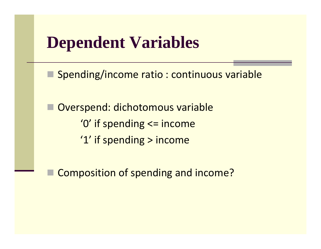# **Dependent Variables**

**Spending/income ratio : continuous variable** 

 Overspend: dichotomous variable '0' if spending <= income '1' if spending > income

Composition of spending and income?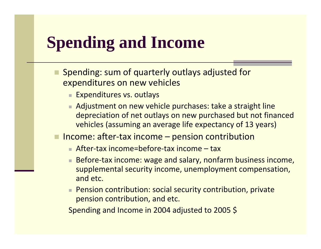# **Spending and Income Spending**

- **Spending: sum of quarterly outlays adjusted for** expenditures on new vehicles
	- Expenditures vs. outlays
	- Adjustment on new vehicle purchases: take a straight line depreciation of net outlays on new purchased but not financed vehicles (assuming an average life expectancy of 13 years)
- Income: after-tax income pension contribution
	- After-tax income=before-tax income tax
	- Before-tax income: wage and salary, nonfarm business income, supplemental security income, unemployment compensation, and etc.
	- Pension contribution: social security contribution, private pension contribution, and etc.

Spending and Income in 2004 adjusted to 2005 \$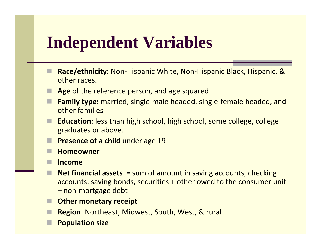# **Independent Variables**

- Race/ethnicity: Non-Hispanic White, Non-Hispanic Black, Hispanic, & other races.
- **Age** of the reference person, and age squared
- **Family type:** married, single-male headed, single-female headed, and other families
- **Education**: less than high school, high school, some college, college graduates or above.
- **Presence of a child** under age 19
- **Homeowner**
- **Income**
- П ■ **Net financial assets** = sum of amount in saving accounts, checking accounts, saving bonds, securities + other owed to the consumer unit – non ‐mortgage debt
- **Other monetary receipt**
- H ■ Region: Northeast, Midwest, South, West, & rural
- **Population size**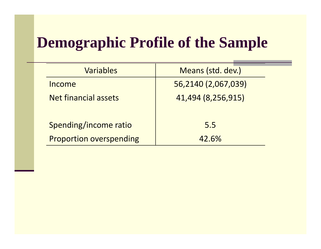# **Demographic Profile of the Sample**

| Variables |                                | Means (std. dev.)   |  |
|-----------|--------------------------------|---------------------|--|
|           | Income                         | 56,2140 (2,067,039) |  |
|           | Net financial assets           | 41,494 (8,256,915)  |  |
|           |                                |                     |  |
|           | Spending/income ratio          | 5.5                 |  |
|           | <b>Proportion overspending</b> | 42.6%               |  |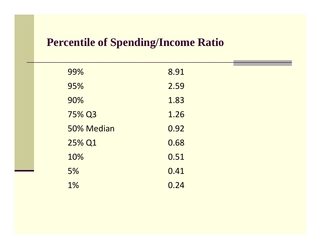## **Percentile of Spending/Income Ratio**

| 99%        | 8.91 |  |
|------------|------|--|
| 95%        | 2.59 |  |
| 90%        | 1.83 |  |
| 75% Q3     | 1.26 |  |
| 50% Median | 0.92 |  |
| 25% Q1     | 0.68 |  |
| 10%        | 0.51 |  |
| 5%         | 0.41 |  |
| 1%         | 0.24 |  |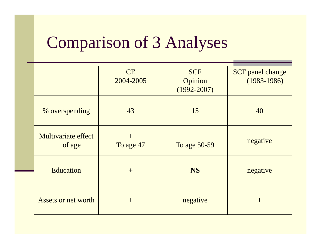# Comparison of 3 Analyses

|  |                               | <b>CE</b><br>2004-2005 | <b>SCF</b><br>Opinion<br>$(1992 - 2007)$ | <b>SCF</b> panel change<br>$(1983 - 1986)$ |  |  |
|--|-------------------------------|------------------------|------------------------------------------|--------------------------------------------|--|--|
|  | % overspending                | 43                     | 15                                       | 40                                         |  |  |
|  | Multivariate effect<br>of age | $+$<br>To age 47       | $+$<br>To age 50-59                      | negative                                   |  |  |
|  | Education                     | $+$                    | <b>NS</b>                                | negative                                   |  |  |
|  | Assets or net worth           | $+$                    | negative                                 | $+$                                        |  |  |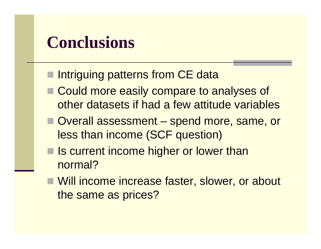# **Conclusions**

- **Intriguing patterns from CE data**
- Could more easily compare to analyses of other datasets if had a few attitude variables
- Overall assessment spend more, same, or less than income (SCF question)
- Is current income higher or lower than normal?
- Will income increase faster, slower, or about the same as prices?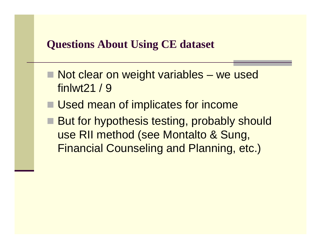## **Questions About Using CE dataset**

- $\blacksquare$  Not clear on weight variables – we used finlwt21 / 9
- Used mean of implicates for income
- But for hypothesis testing, probably should use RII method (see Montalto & Sung, Financial Counseling and Planning, etc.)